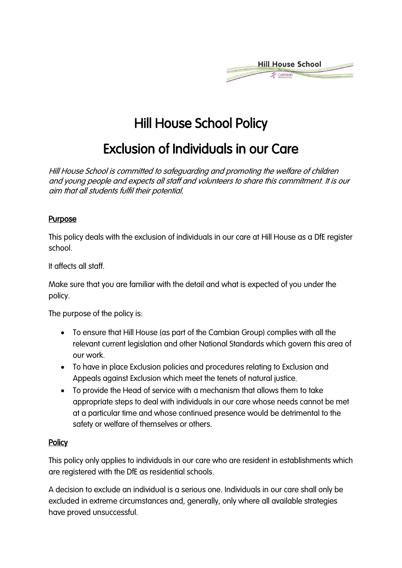

# Hill House School Policy

# Exclusion of Individuals in our Care

Hill House School is committed to safeguarding and promoting the welfare of children and young people and expects all staff and volunteers to share this commitment. It is our aim that all students fulfil their potential.

#### **Purpose**

This policy deals with the exclusion of individuals in our care at Hill House as a DfE register school.

It affects all staff.

Make sure that you are familiar with the detail and what is expected of you under the policy.

The purpose of the policy is:

- To ensure that Hill House (as part of the Cambian Group) complies with all the relevant current legislation and other National Standards which govern this area of our work.
- To have in place Exclusion policies and procedures relating to Exclusion and Appeals against Exclusion which meet the tenets of natural justice.
- To provide the Head of service with a mechanism that allows them to take appropriate steps to deal with individuals in our care whose needs cannot be met at a particular time and whose continued presence would be detrimental to the safety or welfare of themselves or others.

#### **Policy**

This policy only applies to individuals in our care who are resident in establishments which are registered with the DfE as residential schools.

A decision to exclude an individual is a serious one. Individuals in our care shall only be excluded in extreme circumstances and, generally, only where all available strategies have proved unsuccessful.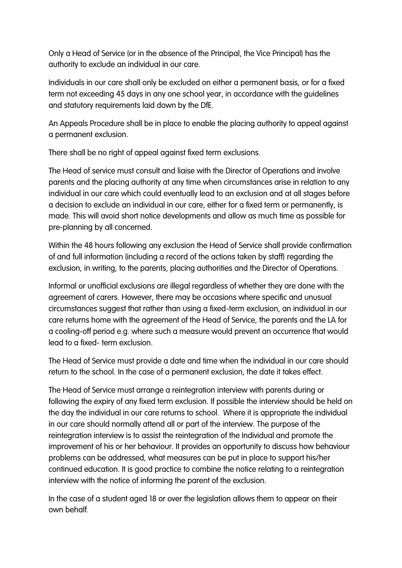Only a Head of Service (or in the absence of the Principal, the Vice Principal) has the authority to exclude an individual in our care.

Individuals in our care shall only be excluded on either a permanent basis, or for a fixed term not exceeding 45 days in any one school year, in accordance with the guidelines and statutory requirements laid down by the DfE.

An Appeals Procedure shall be in place to enable the placing authority to appeal against a permanent exclusion.

There shall be no right of appeal against fixed term exclusions.

The Head of service must consult and liaise with the Director of Operations and involve parents and the placing authority at any time when circumstances arise in relation to any individual in our care which could eventually lead to an exclusion and at all stages before a decision to exclude an individual in our care, either for a fixed term or permanently, is made. This will avoid short notice developments and allow as much time as possible for pre-planning by all concerned.

Within the 48 hours following any exclusion the Head of Service shall provide confirmation of and full information (including a record of the actions taken by staff) regarding the exclusion, in writing, to the parents, placing authorities and the Director of Operations.

Informal or unofficial exclusions are illegal regardless of whether they are done with the agreement of carers. However, there may be occasions where specific and unusual circumstances suggest that rather than using a fixed-term exclusion, an individual in our care returns home with the agreement of the Head of Service, the parents and the LA for a cooling-off period e.g. where such a measure would prevent an occurrence that would lead to a fixed- term exclusion.

The Head of Service must provide a date and time when the individual in our care should return to the school. In the case of a permanent exclusion, the date it takes effect.

The Head of Service must arrange a reintegration interview with parents during or following the expiry of any fixed term exclusion. If possible the interview should be held on the day the individual in our care returns to school. Where it is appropriate the individual in our care should normally attend all or part of the interview. The purpose of the reintegration interview is to assist the reintegration of the Individual and promote the improvement of his or her behaviour. It provides an opportunity to discuss how behaviour problems can be addressed, what measures can be put in place to support his/her continued education. It is good practice to combine the notice relating to a reintegration interview with the notice of informing the parent of the exclusion.

In the case of a student aged 18 or over the legislation allows them to appear on their own behalf.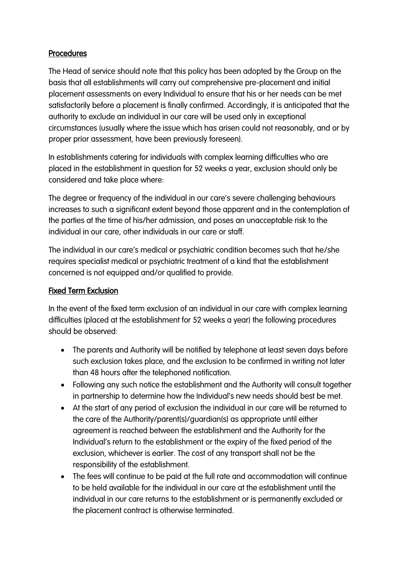# Procedures

The Head of service should note that this policy has been adopted by the Group on the basis that all establishments will carry out comprehensive pre-placement and initial placement assessments on every Individual to ensure that his or her needs can be met satisfactorily before a placement is finally confirmed. Accordingly, it is anticipated that the authority to exclude an individual in our care will be used only in exceptional circumstances (usually where the issue which has arisen could not reasonably, and or by proper prior assessment, have been previously foreseen).

In establishments catering for individuals with complex learning difficulties who are placed in the establishment in question for 52 weeks a year, exclusion should only be considered and take place where:

The degree or frequency of the individual in our care's severe challenging behaviours increases to such a significant extent beyond those apparent and in the contemplation of the parties at the time of his/her admission, and poses an unacceptable risk to the individual in our care, other individuals in our care or staff.

The individual in our care's medical or psychiatric condition becomes such that he/she requires specialist medical or psychiatric treatment of a kind that the establishment concerned is not equipped and/or qualified to provide.

# Fixed Term Exclusion

In the event of the fixed term exclusion of an individual in our care with complex learning difficulties (placed at the establishment for 52 weeks a year) the following procedures should be observed:

- The parents and Authority will be notified by telephone at least seven days before such exclusion takes place, and the exclusion to be confirmed in writing not later than 48 hours after the telephoned notification.
- Following any such notice the establishment and the Authority will consult together in partnership to determine how the Individual's new needs should best be met.
- At the start of any period of exclusion the individual in our care will be returned to the care of the Authority/parent(s)/guardian(s) as appropriate until either agreement is reached between the establishment and the Authority for the Individual's return to the establishment or the expiry of the fixed period of the exclusion, whichever is earlier. The cost of any transport shall not be the responsibility of the establishment.
- The fees will continue to be paid at the full rate and accommodation will continue to be held available for the individual in our care at the establishment until the individual in our care returns to the establishment or is permanently excluded or the placement contract is otherwise terminated.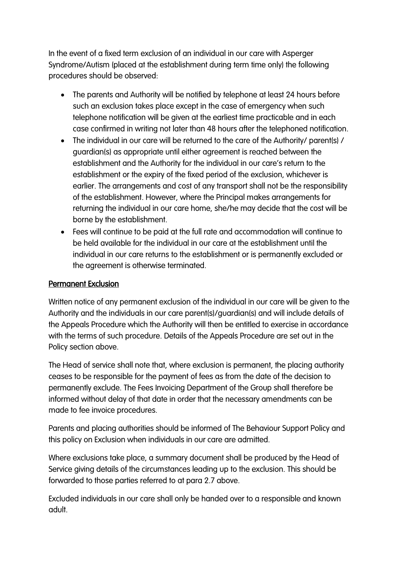In the event of a fixed term exclusion of an individual in our care with Asperger Syndrome/Autism (placed at the establishment during term time only) the following procedures should be observed:

- The parents and Authority will be notified by telephone at least 24 hours before such an exclusion takes place except in the case of emergency when such telephone notification will be given at the earliest time practicable and in each case confirmed in writing not later than 48 hours after the telephoned notification.
- The individual in our care will be returned to the care of the Authority/ parent(s) / guardian(s) as appropriate until either agreement is reached between the establishment and the Authority for the individual in our care's return to the establishment or the expiry of the fixed period of the exclusion, whichever is earlier. The arrangements and cost of any transport shall not be the responsibility of the establishment. However, where the Principal makes arrangements for returning the individual in our care home, she/he may decide that the cost will be borne by the establishment.
- Fees will continue to be paid at the full rate and accommodation will continue to be held available for the individual in our care at the establishment until the individual in our care returns to the establishment or is permanently excluded or the agreement is otherwise terminated.

#### Permanent Exclusion

Written notice of any permanent exclusion of the individual in our care will be given to the Authority and the individuals in our care parent(s)/guardian(s) and will include details of the Appeals Procedure which the Authority will then be entitled to exercise in accordance with the terms of such procedure. Details of the Appeals Procedure are set out in the Policy section above.

The Head of service shall note that, where exclusion is permanent, the placing authority ceases to be responsible for the payment of fees as from the date of the decision to permanently exclude. The Fees Invoicing Department of the Group shall therefore be informed without delay of that date in order that the necessary amendments can be made to fee invoice procedures.

Parents and placing authorities should be informed of The Behaviour Support Policy and this policy on Exclusion when individuals in our care are admitted.

Where exclusions take place, a summary document shall be produced by the Head of Service giving details of the circumstances leading up to the exclusion. This should be forwarded to those parties referred to at para 2.7 above.

Excluded individuals in our care shall only be handed over to a responsible and known adult.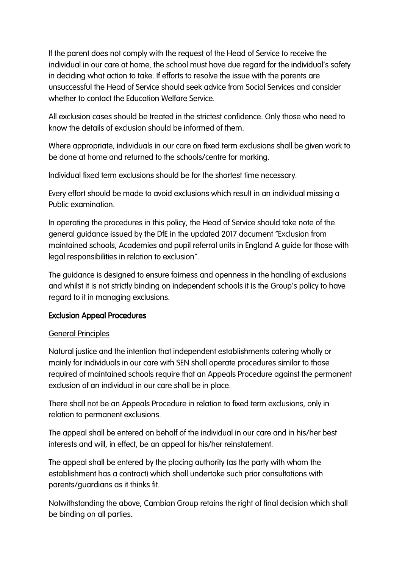If the parent does not comply with the request of the Head of Service to receive the individual in our care at home, the school must have due regard for the individual's safety in deciding what action to take. If efforts to resolve the issue with the parents are unsuccessful the Head of Service should seek advice from Social Services and consider whether to contact the Education Welfare Service.

All exclusion cases should be treated in the strictest confidence. Only those who need to know the details of exclusion should be informed of them.

Where appropriate, individuals in our care on fixed term exclusions shall be given work to be done at home and returned to the schools/centre for marking.

Individual fixed term exclusions should be for the shortest time necessary.

Every effort should be made to avoid exclusions which result in an individual missing a Public examination.

In operating the procedures in this policy, the Head of Service should take note of the general guidance issued by the DfE in the updated 2017 document "Exclusion from maintained schools, Academies and pupil referral units in England A guide for those with legal responsibilities in relation to exclusion".

The guidance is designed to ensure fairness and openness in the handling of exclusions and whilst it is not strictly binding on independent schools it is the Group's policy to have regard to it in managing exclusions.

# Exclusion Appeal Procedures

#### General Principles

Natural justice and the intention that independent establishments catering wholly or mainly for individuals in our care with SEN shall operate procedures similar to those required of maintained schools require that an Appeals Procedure against the permanent exclusion of an individual in our care shall be in place.

There shall not be an Appeals Procedure in relation to fixed term exclusions, only in relation to permanent exclusions.

The appeal shall be entered on behalf of the individual in our care and in his/her best interests and will, in effect, be an appeal for his/her reinstatement.

The appeal shall be entered by the placing authority (as the party with whom the establishment has a contract) which shall undertake such prior consultations with parents/guardians as it thinks fit.

Notwithstanding the above, Cambian Group retains the right of final decision which shall be binding on all parties.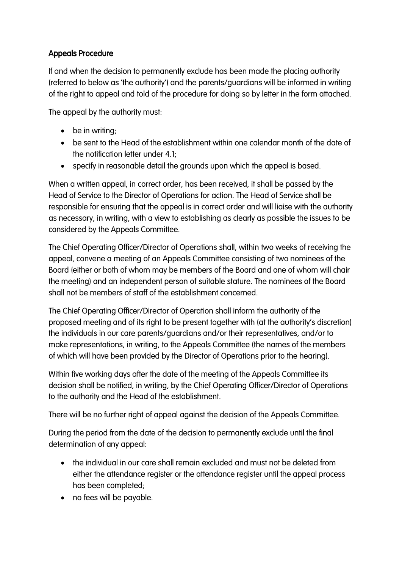# Appeals Procedure

If and when the decision to permanently exclude has been made the placing authority (referred to below as 'the authority') and the parents/guardians will be informed in writing of the right to appeal and told of the procedure for doing so by letter in the form attached.

The appeal by the authority must:

- be in writing;
- be sent to the Head of the establishment within one calendar month of the date of the notification letter under 4.1;
- specify in reasonable detail the grounds upon which the appeal is based.

When a written appeal, in correct order, has been received, it shall be passed by the Head of Service to the Director of Operations for action. The Head of Service shall be responsible for ensuring that the appeal is in correct order and will liaise with the authority as necessary, in writing, with a view to establishing as clearly as possible the issues to be considered by the Appeals Committee.

The Chief Operating Officer/Director of Operations shall, within two weeks of receiving the appeal, convene a meeting of an Appeals Committee consisting of two nominees of the Board (either or both of whom may be members of the Board and one of whom will chair the meeting) and an independent person of suitable stature. The nominees of the Board shall not be members of staff of the establishment concerned.

The Chief Operating Officer/Director of Operation shall inform the authority of the proposed meeting and of its right to be present together with (at the authority's discretion) the individuals in our care parents/guardians and/or their representatives, and/or to make representations, in writing, to the Appeals Committee (the names of the members of which will have been provided by the Director of Operations prior to the hearing).

Within five working days after the date of the meeting of the Appeals Committee its decision shall be notified, in writing, by the Chief Operating Officer/Director of Operations to the authority and the Head of the establishment.

There will be no further right of appeal against the decision of the Appeals Committee.

During the period from the date of the decision to permanently exclude until the final determination of any appeal:

- the individual in our care shall remain excluded and must not be deleted from either the attendance register or the attendance register until the appeal process has been completed;
- no fees will be payable.